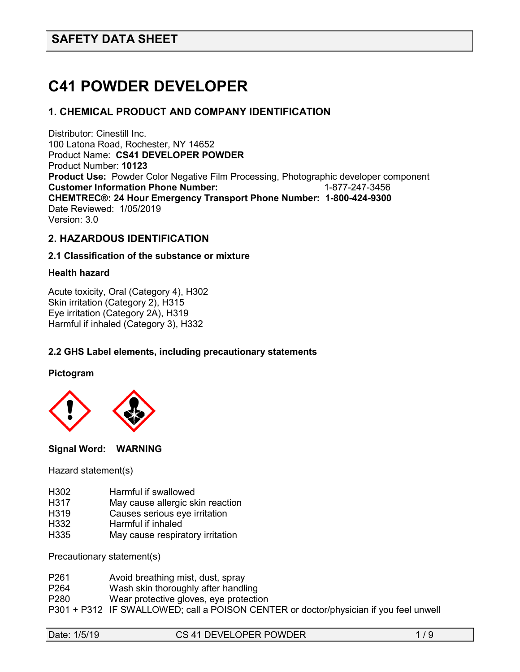# **C41 POWDER DEVELOPER**

## **1. CHEMICAL PRODUCT AND COMPANY IDENTIFICATION**

Distributor: Cinestill Inc. 100 Latona Road, Rochester, NY 14652 Product Name: **CS41 DEVELOPER POWDER** Product Number: **10123 Product Use:** Powder Color Negative Film Processing, Photographic developer component Customer Information Phone Number: 1-877-247-3456 **Customer Information Phone Number: CHEMTREC®: 24 Hour Emergency Transport Phone Number: 1-800-424-9300**  Date Reviewed: 1/05/2019 Version: 3.0

## **2. HAZARDOUS IDENTIFICATION**

#### **2.1 Classification of the substance or mixture**

## **Health hazard**

Acute toxicity, Oral (Category 4), H302 Skin irritation (Category 2), H315 Eye irritation (Category 2A), H319 Harmful if inhaled (Category 3), H332

## **2.2 GHS Label elements, including precautionary statements**

**Pictogram**



**Signal Word: WARNING** 

Hazard statement(s)

- H302 Harmful if swallowed
- H317 May cause allergic skin reaction
- H319 Causes serious eye irritation
- H332 Harmful if inhaled
- H335 May cause respiratory irritation

Precautionary statement(s)

- P261 Avoid breathing mist, dust, spray<br>P264 Wash skin thoroughly after handl
- Wash skin thoroughly after handling
- P280 Wear protective gloves, eye protection
- P301 + P312 IF SWALLOWED; call a POISON CENTER or doctor/physician if you feel unwell

|  | Date: 1/5/19 |
|--|--------------|
|--|--------------|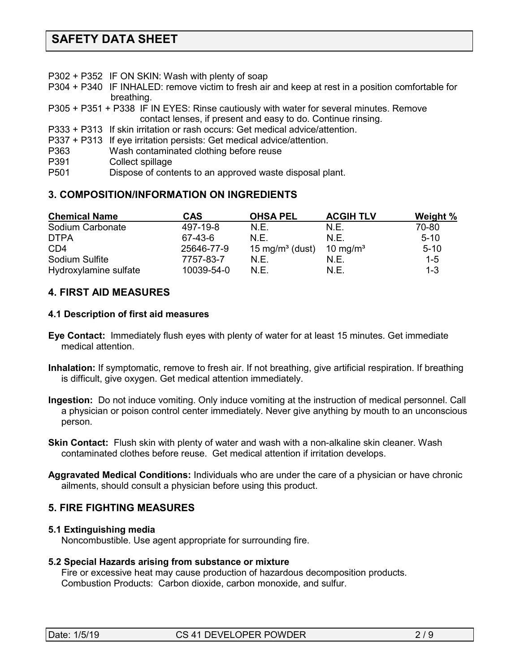- P302 + P352 IF ON SKIN: Wash with plenty of soap
- P304 + P340 IF INHALED: remove victim to fresh air and keep at rest in a position comfortable for breathing.
- P305 + P351 + P338 IF IN EYES: Rinse cautiously with water for several minutes. Remove contact lenses, if present and easy to do. Continue rinsing.
- P333 + P313 If skin irritation or rash occurs: Get medical advice/attention.
- P337 + P313 If eye irritation persists: Get medical advice/attention.
- P363 Wash contaminated clothing before reuse
- P391 Collect spillage<br>P501 Dispose of cont
- Dispose of contents to an approved waste disposal plant.

## **3. COMPOSITION/INFORMATION ON INGREDIENTS**

| <b>Chemical Name</b>  | <b>CAS</b> | <b>OHSA PEL</b>             | <b>ACGIH TLV</b>     | <b>Weight %</b> |
|-----------------------|------------|-----------------------------|----------------------|-----------------|
| Sodium Carbonate      | 497-19-8   | N.E.                        | N.E.                 | 70-80           |
| <b>DTPA</b>           | 67-43-6    | N F.                        | N.E.                 | $5-10$          |
| CD4                   | 25646-77-9 | 15 mg/m <sup>3</sup> (dust) | 10 mg/m <sup>3</sup> | $5 - 10$        |
| Sodium Sulfite        | 7757-83-7  | N F                         | N.E.                 | $1 - 5$         |
| Hydroxylamine sulfate | 10039-54-0 | N.E.                        | N.E.                 | $1 - 3$         |

## **4. FIRST AID MEASURES**

#### **4.1 Description of first aid measures**

- **Eye Contact:** Immediately flush eyes with plenty of water for at least 15 minutes. Get immediate medical attention.
- **Inhalation:** If symptomatic, remove to fresh air. If not breathing, give artificial respiration. If breathing is difficult, give oxygen. Get medical attention immediately.
- **Ingestion:** Do not induce vomiting. Only induce vomiting at the instruction of medical personnel. Call a physician or poison control center immediately. Never give anything by mouth to an unconscious person.
- **Skin Contact:** Flush skin with plenty of water and wash with a non-alkaline skin cleaner. Wash contaminated clothes before reuse. Get medical attention if irritation develops.
- **Aggravated Medical Conditions:** Individuals who are under the care of a physician or have chronic ailments, should consult a physician before using this product.

## **5. FIRE FIGHTING MEASURES**

## **5.1 Extinguishing media**

Noncombustible. Use agent appropriate for surrounding fire.

#### **5.2 Special Hazards arising from substance or mixture**

 Fire or excessive heat may cause production of hazardous decomposition products. Combustion Products: Carbon dioxide, carbon monoxide, and sulfur.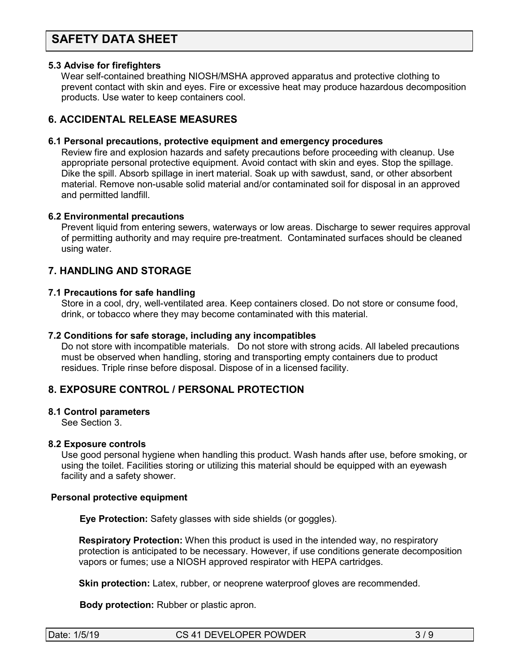#### **5.3 Advise for firefighters**

Wear self-contained breathing NIOSH/MSHA approved apparatus and protective clothing to prevent contact with skin and eyes. Fire or excessive heat may produce hazardous decomposition products. Use water to keep containers cool.

## **6. ACCIDENTAL RELEASE MEASURES**

#### **6.1 Personal precautions, protective equipment and emergency procedures**

Review fire and explosion hazards and safety precautions before proceeding with cleanup. Use appropriate personal protective equipment. Avoid contact with skin and eyes. Stop the spillage. Dike the spill. Absorb spillage in inert material. Soak up with sawdust, sand, or other absorbent material. Remove non-usable solid material and/or contaminated soil for disposal in an approved and permitted landfill.

#### **6.2 Environmental precautions**

 Prevent liquid from entering sewers, waterways or low areas. Discharge to sewer requires approval of permitting authority and may require pre-treatment. Contaminated surfaces should be cleaned using water.

## **7. HANDLING AND STORAGE**

#### **7.1 Precautions for safe handling**

 Store in a cool, dry, well-ventilated area. Keep containers closed. Do not store or consume food, drink, or tobacco where they may become contaminated with this material.

#### **7.2 Conditions for safe storage, including any incompatibles**

Do not store with incompatible materials. Do not store with strong acids. All labeled precautions must be observed when handling, storing and transporting empty containers due to product residues. Triple rinse before disposal. Dispose of in a licensed facility.

## **8. EXPOSURE CONTROL / PERSONAL PROTECTION**

#### **8.1 Control parameters**

See Section 3.

## **8.2 Exposure controls**

Use good personal hygiene when handling this product. Wash hands after use, before smoking, or using the toilet. Facilities storing or utilizing this material should be equipped with an eyewash facility and a safety shower.

#### **Personal protective equipment**

**Eye Protection:** Safety glasses with side shields (or goggles).

**Respiratory Protection:** When this product is used in the intended way, no respiratory protection is anticipated to be necessary. However, if use conditions generate decomposition vapors or fumes; use a NIOSH approved respirator with HEPA cartridges.

**Skin protection:** Latex, rubber, or neoprene waterproof gloves are recommended.

 **Body protection:** Rubber or plastic apron.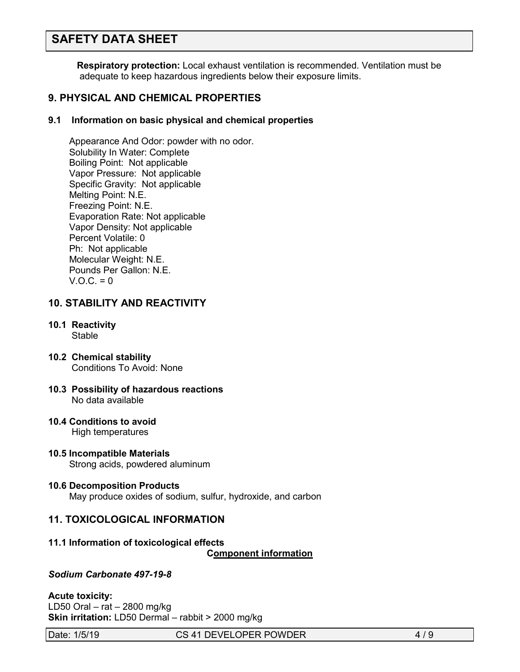**Respiratory protection:** Local exhaust ventilation is recommended. Ventilation must be adequate to keep hazardous ingredients below their exposure limits.

## **9. PHYSICAL AND CHEMICAL PROPERTIES**

## **9.1 Information on basic physical and chemical properties**

Appearance And Odor: powder with no odor. Solubility In Water: Complete Boiling Point: Not applicable Vapor Pressure: Not applicable Specific Gravity: Not applicable Melting Point: N.E. Freezing Point: N.E. Evaporation Rate: Not applicable Vapor Density: Not applicable Percent Volatile: 0 Ph: Not applicable Molecular Weight: N.E. Pounds Per Gallon: N.E.  $V.O.C. = 0$ 

## **10. STABILITY AND REACTIVITY**

- **10.1 Reactivity** Stable
- **10.2 Chemical stability** Conditions To Avoid: None
- **10.3 Possibility of hazardous reactions** No data available
- **10.4 Conditions to avoid** High temperatures
- **10.5 Incompatible Materials** Strong acids, powdered aluminum

#### **10.6 Decomposition Products**  May produce oxides of sodium, sulfur, hydroxide, and carbon

## **11. TOXICOLOGICAL INFORMATION**

#### **11.1 Information of toxicological effects**

**C***C***omponent information**

### *Sodium Carbonate 497-19-8*

#### **Acute toxicity:**

LD50 Oral – rat – 2800 mg/kg **Skin irritation:** LD50 Dermal – rabbit > 2000 mg/kg

Date: 1/5/19 CS 41 DEVELOPER POWDER 4/9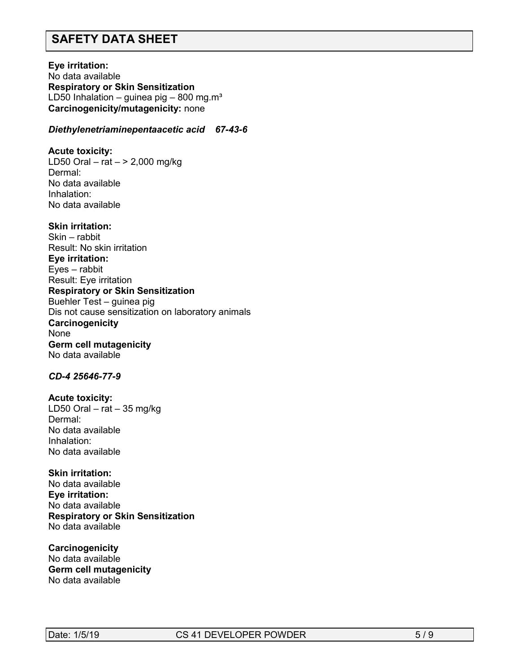**Eye irritation:**  No data available **Respiratory or Skin Sensitization** LD50 Inhalation – guinea pig – 800 mg.m<sup>3</sup> **Carcinogenicity/mutagenicity:** none

#### *Diethylenetriaminepentaacetic acid 67-43-6*

**Acute toxicity:** LD50 Oral – rat  $-$  > 2,000 mg/kg Dermal: No data available Inhalation: No data available

#### **Skin irritation:**

Skin – rabbit Result: No skin irritation **Eye irritation:**  Eyes – rabbit Result: Eye irritation **Respiratory or Skin Sensitization** Buehler Test – guinea pig Dis not cause sensitization on laboratory animals **Carcinogenicity** None **Germ cell mutagenicity** No data available

#### *CD-4 25646-77-9*

**Acute toxicity:**

LD50 Oral – rat – 35 mg/kg Dermal: No data available Inhalation: No data available

#### **Skin irritation:**

No data available **Eye irritation:**  No data available **Respiratory or Skin Sensitization** No data available

**Carcinogenicity** No data available **Germ cell mutagenicity** No data available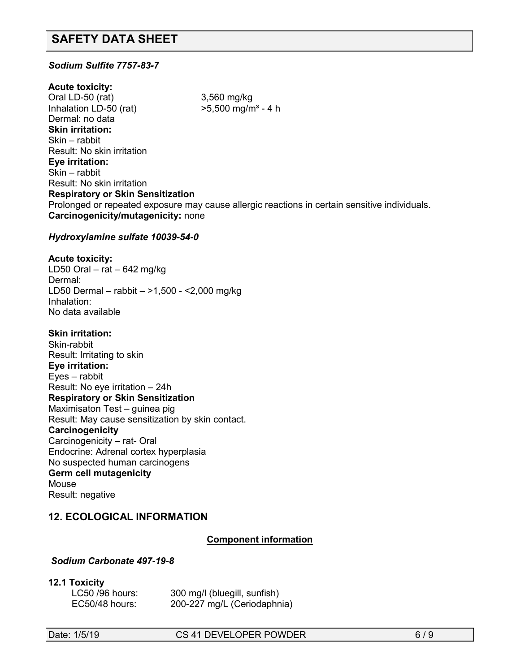## *Sodium Sulfite 7757-83-7*

**Acute toxicity:** Oral LD-50 (rat) 3,560 mg/kg Inhalation LD-50 (rat)  $>5.500$  mg/m<sup>3</sup> - 4 h Dermal: no data **Skin irritation:**  Skin – rabbit Result: No skin irritation **Eye irritation:**  Skin – rabbit Result: No skin irritation **Respiratory or Skin Sensitization** Prolonged or repeated exposure may cause allergic reactions in certain sensitive individuals. **Carcinogenicity/mutagenicity:** none

#### *Hydroxylamine sulfate 10039-54-0*

#### **Acute toxicity:**

LD50 Oral – rat – 642 mg/kg Dermal: LD50 Dermal – rabbit – >1,500 - <2,000 mg/kg Inhalation: No data available

#### **Skin irritation:**

Skin-rabbit Result: Irritating to skin **Eye irritation:**  Eyes – rabbit Result: No eye irritation – 24h **Respiratory or Skin Sensitization** Maximisaton Test – guinea pig Result: May cause sensitization by skin contact. **Carcinogenicity** Carcinogenicity – rat- Oral Endocrine: Adrenal cortex hyperplasia No suspected human carcinogens **Germ cell mutagenicity** Mouse Result: negative

## **12. ECOLOGICAL INFORMATION**

## **Component information**

## *Sodium Carbonate 497-19-8*

#### **12.1 Toxicity**

| LC50 /96 hours: | 300 mg/l (bluegill, sunfish) |
|-----------------|------------------------------|
| EC50/48 hours:  | 200-227 mg/L (Ceriodaphnia)  |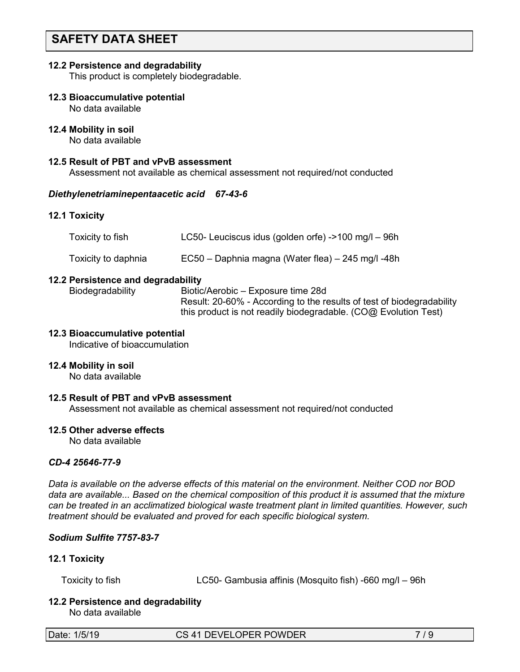#### **12.2 Persistence and degradability**

This product is completely biodegradable.

**12.3 Bioaccumulative potential**

No data available

#### **12.4 Mobility in soil**

No data available

#### **12.5 Result of PBT and vPvB assessment**

Assessment not available as chemical assessment not required/not conducted

#### *Diethylenetriaminepentaacetic acid 67-43-6*

#### **12.1 Toxicity**

| Toxicity to fish    | LC50- Leuciscus idus (golden orfe) ->100 mg/l - 96h |
|---------------------|-----------------------------------------------------|
| Toxicity to daphnia | EC50 – Daphnia magna (Water flea) – 245 mg/l -48h   |

#### **12.2 Persistence and degradability**

 Biodegradability Biotic/Aerobic – Exposure time 28d Result: 20-60% - According to the results of test of biodegradability this product is not readily biodegradable. (CO@ Evolution Test)

#### **12.3 Bioaccumulative potential**

Indicative of bioaccumulation

#### **12.4 Mobility in soil**

No data available

### **12.5 Result of PBT and vPvB assessment**

Assessment not available as chemical assessment not required/not conducted

#### **12.5 Other adverse effects**

No data available

### *CD-4 25646-77-9*

*Data is available on the adverse effects of this material on the environment. Neither COD nor BOD data are available... Based on the chemical composition of this product it is assumed that the mixture can be treated in an acclimatized biological waste treatment plant in limited quantities. However, such treatment should be evaluated and proved for each specific biological system.*

## *Sodium Sulfite 7757-83-7*

## **12.1 Toxicity**

Toxicity to fish LC50- Gambusia affinis (Mosquito fish) -660 mg/l – 96h

## **12.2 Persistence and degradability**

No data available

Date: 1/5/19 CS 41 DEVELOPER POWDER 7/9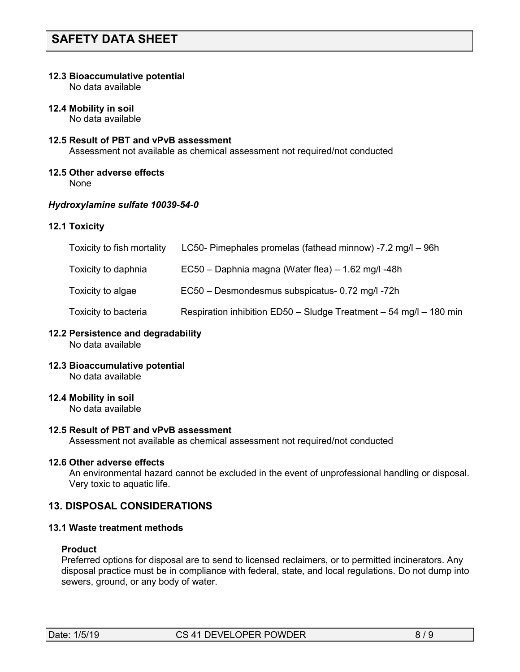#### **12.3 Bioaccumulative potential**

No data available

**12.4 Mobility in soil**

No data available

## **12.5 Result of PBT and vPvB assessment**

Assessment not available as chemical assessment not required/not conducted

## **12.5 Other adverse effects**

None

## *Hydroxylamine sulfate 10039-54-0*

## **12.1 Toxicity**

| Toxicity to fish mortality | LC50- Pimephales promelas (fathead minnow) -7.2 mg/l - 96h         |
|----------------------------|--------------------------------------------------------------------|
| Toxicity to daphnia        | EC50 - Daphnia magna (Water flea) - 1.62 mg/l -48h                 |
| Toxicity to algae          | EC50 - Desmondesmus subspicatus- 0.72 mg/l -72h                    |
| Toxicity to bacteria       | Respiration inhibition ED50 - Sludge Treatment - 54 mg/l - 180 min |

## **12.2 Persistence and degradability**

No data available

**12.3 Bioaccumulative potential**

No data available

## **12.4 Mobility in soil**

No data available

## **12.5 Result of PBT and vPvB assessment**

Assessment not available as chemical assessment not required/not conducted

## **12.6 Other adverse effects**

 An environmental hazard cannot be excluded in the event of unprofessional handling or disposal. Very toxic to aquatic life.

## **13. DISPOSAL CONSIDERATIONS**

## **13.1 Waste treatment methods**

#### **Product**

Preferred options for disposal are to send to licensed reclaimers, or to permitted incinerators. Any disposal practice must be in compliance with federal, state, and local regulations. Do not dump into sewers, ground, or any body of water.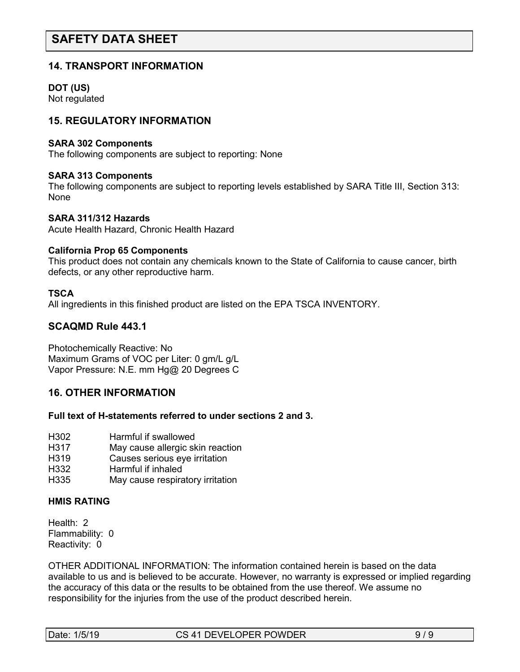## **14. TRANSPORT INFORMATION**

### **DOT (US)**

Not regulated

## **15. REGULATORY INFORMATION**

#### **SARA 302 Components**

The following components are subject to reporting: None

#### **SARA 313 Components**

The following components are subject to reporting levels established by SARA Title III, Section 313: None

#### **SARA 311/312 Hazards**

Acute Health Hazard, Chronic Health Hazard

#### **California Prop 65 Components**

This product does not contain any chemicals known to the State of California to cause cancer, birth defects, or any other reproductive harm.

#### **TSCA**

All ingredients in this finished product are listed on the EPA TSCA INVENTORY.

## **SCAQMD Rule 443.1**

Photochemically Reactive: No Maximum Grams of VOC per Liter: 0 gm/L g/L Vapor Pressure: N.E. mm Hg@ 20 Degrees C

## **16. OTHER INFORMATION**

#### **Full text of H-statements referred to under sections 2 and 3.**

- H<sub>3</sub>02 Harmful if swallowed<br>H<sub>317</sub> Hay cause allergic sk
- May cause allergic skin reaction
- H319 Causes serious eye irritation
- H332 Harmful if inhaled
- H335 May cause respiratory irritation

## **HMIS RATING**

Health: 2 Flammability: 0 Reactivity: 0

OTHER ADDITIONAL INFORMATION: The information contained herein is based on the data available to us and is believed to be accurate. However, no warranty is expressed or implied regarding the accuracy of this data or the results to be obtained from the use thereof. We assume no responsibility for the injuries from the use of the product described herein.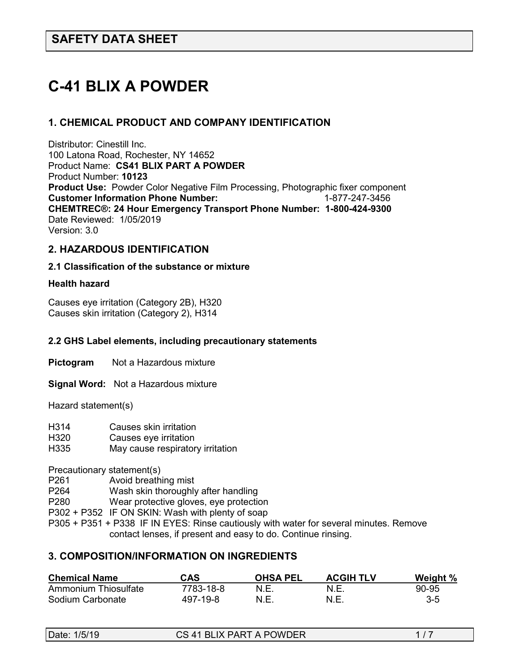# **C-41 BLIX A POWDER**

## **1. CHEMICAL PRODUCT AND COMPANY IDENTIFICATION**

Distributor: Cinestill Inc. 100 Latona Road, Rochester, NY 14652 Product Name: **CS41 BLIX PART A POWDER** Product Number: **10123 Product Use:** Powder Color Negative Film Processing, Photographic fixer component **Customer Information Phone Number:** 1-877-247-3456 **CHEMTREC®: 24 Hour Emergency Transport Phone Number: 1-800-424-9300**  Date Reviewed: 1/05/2019 Version: 3.0

## **2. HAZARDOUS IDENTIFICATION**

#### **2.1 Classification of the substance or mixture**

#### **Health hazard**

Causes eye irritation (Category 2B), H320 Causes skin irritation (Category 2), H314

#### **2.2 GHS Label elements, including precautionary statements**

**Pictogram** Not a Hazardous mixture

**Signal Word:** Not a Hazardous mixture

Hazard statement(s)

| H <sub>3</sub> 14 | Causes skin irritation                 |
|-------------------|----------------------------------------|
| H320              | Causes eye irritation                  |
| $\sqrt{2}$        | Maria e este e un enclue fem claudi en |

H335 May cause respiratory irritation

Precautionary statement(s)

- P261 Avoid breathing mist
- P264 Wash skin thoroughly after handling
- P280 Wear protective gloves, eye protection
- P302 + P352 IF ON SKIN: Wash with plenty of soap
- P305 + P351 + P338 IF IN EYES: Rinse cautiously with water for several minutes. Remove contact lenses, if present and easy to do. Continue rinsing.

## **3. COMPOSITION/INFORMATION ON INGREDIENTS**

| <b>Chemical Name</b> | CAS       | <b>OHSA PEL</b> | <b>ACGIH TLV</b> | Weight % |
|----------------------|-----------|-----------------|------------------|----------|
| Ammonium Thiosulfate | 7783-18-8 | N.E.            | N.E.             | 90-95    |
| Sodium Carbonate     | 497-19-8  | N.E.            | N.E.             | 3-5      |

| Date: 1/5/19 | CS 41 BLIX PART A POWDER |  |
|--------------|--------------------------|--|
|              |                          |  |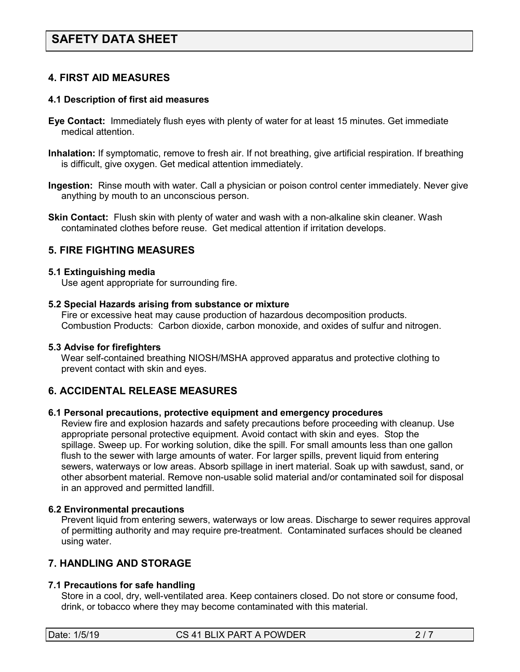## **4. FIRST AID MEASURES**

#### **4.1 Description of first aid measures**

- **Eye Contact:** Immediately flush eyes with plenty of water for at least 15 minutes. Get immediate medical attention.
- **Inhalation:** If symptomatic, remove to fresh air. If not breathing, give artificial respiration. If breathing is difficult, give oxygen. Get medical attention immediately.
- **Ingestion:** Rinse mouth with water. Call a physician or poison control center immediately. Never give anything by mouth to an unconscious person.
- **Skin Contact:** Flush skin with plenty of water and wash with a non-alkaline skin cleaner. Wash contaminated clothes before reuse. Get medical attention if irritation develops.

### **5. FIRE FIGHTING MEASURES**

#### **5.1 Extinguishing media**

Use agent appropriate for surrounding fire.

#### **5.2 Special Hazards arising from substance or mixture**

 Fire or excessive heat may cause production of hazardous decomposition products. Combustion Products: Carbon dioxide, carbon monoxide, and oxides of sulfur and nitrogen.

#### **5.3 Advise for firefighters**

Wear self-contained breathing NIOSH/MSHA approved apparatus and protective clothing to prevent contact with skin and eyes.

## **6. ACCIDENTAL RELEASE MEASURES**

#### **6.1 Personal precautions, protective equipment and emergency procedures**

Review fire and explosion hazards and safety precautions before proceeding with cleanup. Use appropriate personal protective equipment. Avoid contact with skin and eyes. Stop the spillage. Sweep up. For working solution, dike the spill. For small amounts less than one gallon flush to the sewer with large amounts of water. For larger spills, prevent liquid from entering sewers, waterways or low areas. Absorb spillage in inert material. Soak up with sawdust, sand, or other absorbent material. Remove non-usable solid material and/or contaminated soil for disposal in an approved and permitted landfill.

#### **6.2 Environmental precautions**

 Prevent liquid from entering sewers, waterways or low areas. Discharge to sewer requires approval of permitting authority and may require pre-treatment. Contaminated surfaces should be cleaned using water.

## **7. HANDLING AND STORAGE**

## **7.1 Precautions for safe handling**

 Store in a cool, dry, well-ventilated area. Keep containers closed. Do not store or consume food, drink, or tobacco where they may become contaminated with this material.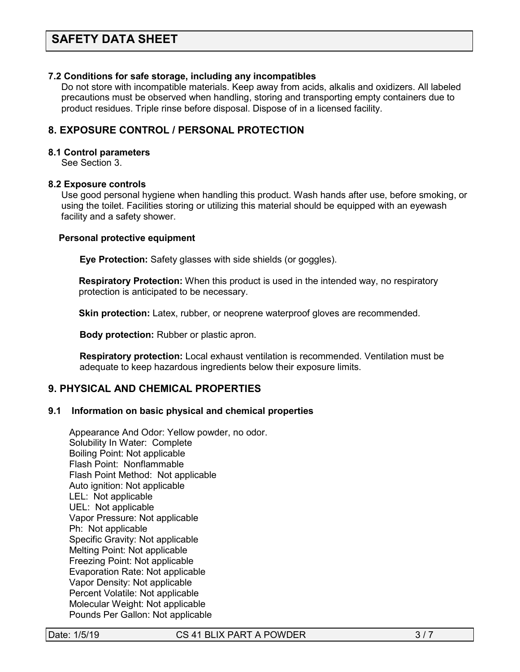#### **7.2 Conditions for safe storage, including any incompatibles**

Do not store with incompatible materials. Keep away from acids, alkalis and oxidizers. All labeled precautions must be observed when handling, storing and transporting empty containers due to product residues. Triple rinse before disposal. Dispose of in a licensed facility.

## **8. EXPOSURE CONTROL / PERSONAL PROTECTION**

#### **8.1 Control parameters**

See Section 3.

#### **8.2 Exposure controls**

Use good personal hygiene when handling this product. Wash hands after use, before smoking, or using the toilet. Facilities storing or utilizing this material should be equipped with an eyewash facility and a safety shower.

#### **Personal protective equipment**

**Eye Protection:** Safety glasses with side shields (or goggles).

**Respiratory Protection:** When this product is used in the intended way, no respiratory protection is anticipated to be necessary.

**Skin protection:** Latex, rubber, or neoprene waterproof gloves are recommended.

 **Body protection:** Rubber or plastic apron.

 **Respiratory protection:** Local exhaust ventilation is recommended. Ventilation must be adequate to keep hazardous ingredients below their exposure limits.

### **9. PHYSICAL AND CHEMICAL PROPERTIES**

#### **9.1 Information on basic physical and chemical properties**

Appearance And Odor: Yellow powder, no odor. Solubility In Water: Complete Boiling Point: Not applicable Flash Point: Nonflammable Flash Point Method: Not applicable Auto ignition: Not applicable LEL: Not applicable UEL: Not applicable Vapor Pressure: Not applicable Ph: Not applicable Specific Gravity: Not applicable Melting Point: Not applicable Freezing Point: Not applicable Evaporation Rate: Not applicable Vapor Density: Not applicable Percent Volatile: Not applicable Molecular Weight: Not applicable Pounds Per Gallon: Not applicable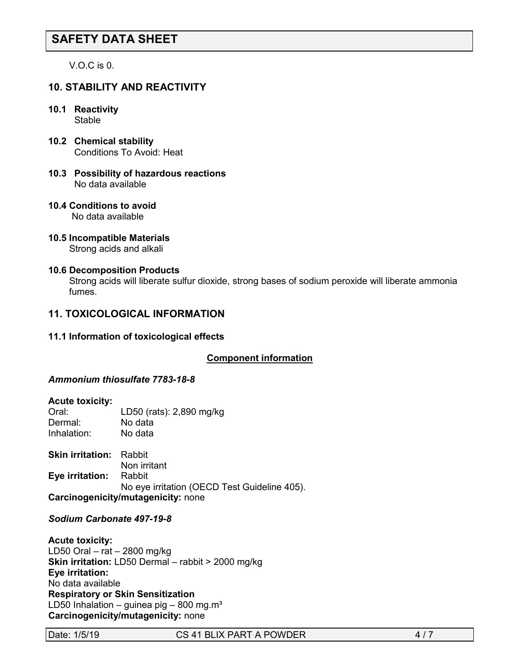V.O.C is 0.

## **10. STABILITY AND REACTIVITY**

- **10.1 Reactivity Stable**
- **10.2 Chemical stability** Conditions To Avoid: Heat
- **10.3 Possibility of hazardous reactions** No data available
- **10.4 Conditions to avoid** No data available
- **10.5 Incompatible Materials** Strong acids and alkali

#### **10.6 Decomposition Products**

Strong acids will liberate sulfur dioxide, strong bases of sodium peroxide will liberate ammonia fumes.

## **11. TOXICOLOGICAL INFORMATION**

**11.1 Information of toxicological effects**

#### **Component information**

#### *Ammonium thiosulfate 7783-18-8*

#### **Acute toxicity:**

| Oral:       | LD50 (rats): 2,890 mg/kg |
|-------------|--------------------------|
| Dermal:     | No data                  |
| Inhalation: | No data                  |

**Skin irritation:** Rabbit Non irritant **Eye irritation:** Rabbit No eye irritation (OECD Test Guideline 405). **Carcinogenicity/mutagenicity:** none

#### *Sodium Carbonate 497-19-8*

**Acute toxicity:** LD50 Oral – rat – 2800 mg/kg **Skin irritation:** LD50 Dermal – rabbit > 2000 mg/kg **Eye irritation:**  No data available **Respiratory or Skin Sensitization** LD50 Inhalation – guinea pig – 800 mg.m<sup>3</sup> **Carcinogenicity/mutagenicity:** none

Date: 1/5/19 CS 41 BLIX PART A POWDER 4/7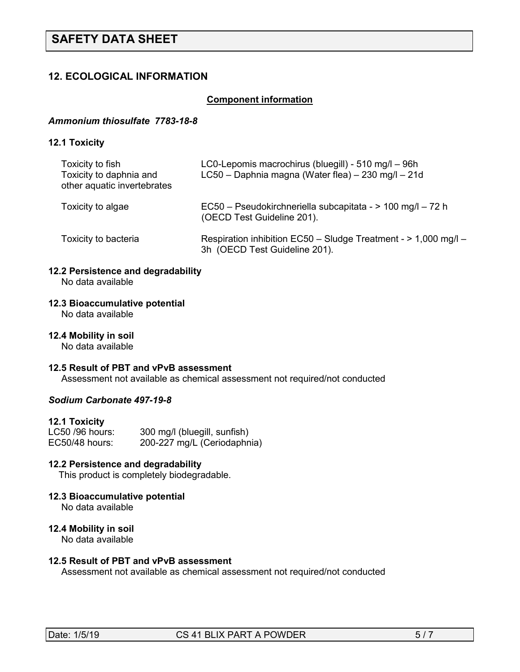## **12. ECOLOGICAL INFORMATION**

#### *<sup>U</sup>***Component information**

#### *Ammonium thiosulfate 7783-18-8*

#### **12.1 Toxicity**

| Toxicity to fish<br>Toxicity to daphnia and<br>other aquatic invertebrates | LC0-Lepomis macrochirus (bluegill) - 510 mg/l - 96h<br>LC50 - Daphnia magna (Water flea) - 230 mg/l - 21d |  |
|----------------------------------------------------------------------------|-----------------------------------------------------------------------------------------------------------|--|
| Toxicity to algae                                                          | EC50 - Pseudokirchneriella subcapitata - > 100 mg/l - 72 h<br>(OECD Test Guideline 201).                  |  |
| Toxicity to bacteria                                                       | Respiration inhibition EC50 - Sludge Treatment - > 1,000 mg/l -<br>3h (OECD Test Guideline 201).          |  |

## **12.2 Persistence and degradability**

No data available

## **12.3 Bioaccumulative potential**

No data available

#### **12.4 Mobility in soil**

No data available

#### **12.5 Result of PBT and vPvB assessment**

Assessment not available as chemical assessment not required/not conducted

#### *Sodium Carbonate 497-19-8*

#### **12.1 Toxicity**

| LC50 /96 hours: | 300 mg/l (bluegill, sunfish) |
|-----------------|------------------------------|
| EC50/48 hours:  | 200-227 mg/L (Ceriodaphnia)  |

## **12.2 Persistence and degradability**

This product is completely biodegradable.

## **12.3 Bioaccumulative potential**

No data available

#### **12.4 Mobility in soil**

No data available

## **12.5 Result of PBT and vPvB assessment**

Assessment not available as chemical assessment not required/not conducted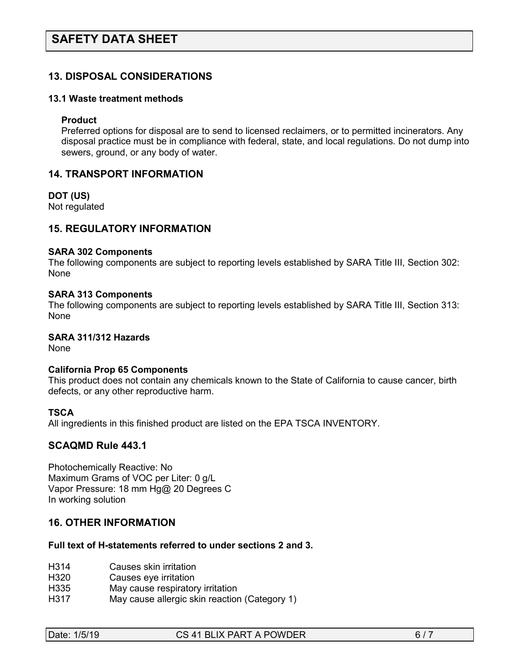## **13. DISPOSAL CONSIDERATIONS**

#### **13.1 Waste treatment methods**

#### **Product**

Preferred options for disposal are to send to licensed reclaimers, or to permitted incinerators. Any disposal practice must be in compliance with federal, state, and local regulations. Do not dump into sewers, ground, or any body of water.

#### **14. TRANSPORT INFORMATION**

**DOT (US)** Not regulated

**15. REGULATORY INFORMATION**

## **SARA 302 Components**

The following components are subject to reporting levels established by SARA Title III, Section 302: None

#### **SARA 313 Components**

The following components are subject to reporting levels established by SARA Title III, Section 313: None

## **SARA 311/312 Hazards**

None

#### **California Prop 65 Components**

This product does not contain any chemicals known to the State of California to cause cancer, birth defects, or any other reproductive harm.

#### **TSCA**

All ingredients in this finished product are listed on the EPA TSCA INVENTORY.

## **SCAQMD Rule 443.1**

Photochemically Reactive: No Maximum Grams of VOC per Liter: 0 g/L Vapor Pressure: 18 mm Hg@ 20 Degrees C In working solution

## **16. OTHER INFORMATION**

#### **Full text of H-statements referred to under sections 2 and 3.**

- H314 Causes skin irritation
- H320 Causes eye irritation
- H335 May cause respiratory irritation
- H317 May cause allergic skin reaction (Category 1)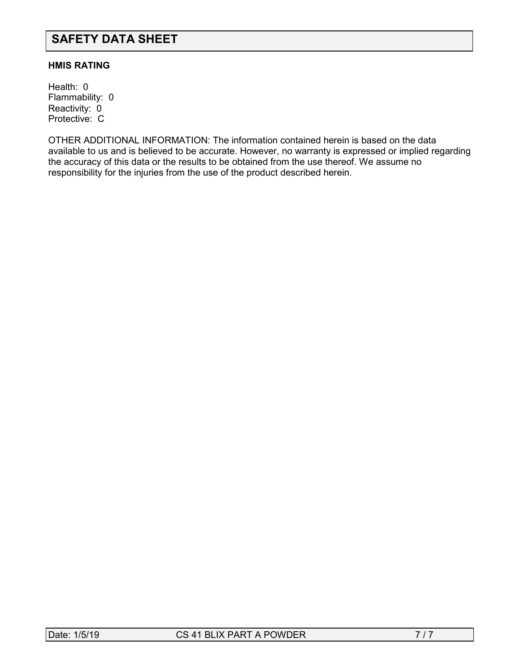#### **HMIS RATING**

Health: 0 Flammability: 0 Reactivity: 0 Protective: C

OTHER ADDITIONAL INFORMATION: The information contained herein is based on the data available to us and is believed to be accurate. However, no warranty is expressed or implied regarding the accuracy of this data or the results to be obtained from the use thereof. We assume no responsibility for the injuries from the use of the product described herein.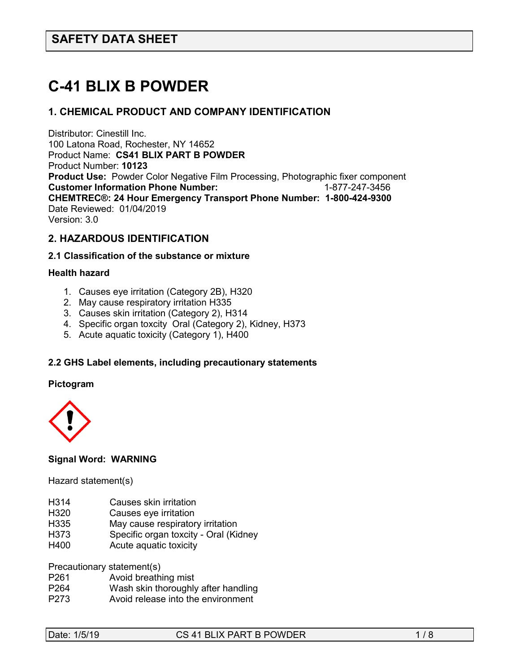# **C-41 BLIX B POWDER**

## **1. CHEMICAL PRODUCT AND COMPANY IDENTIFICATION**

Distributor: Cinestill Inc. 100 Latona Road, Rochester, NY 14652 Product Name: **CS41 BLIX PART B POWDER** Product Number: **10123 Product Use:** Powder Color Negative Film Processing, Photographic fixer component **Customer Information Phone Number: CHEMTREC®: 24 Hour Emergency Transport Phone Number: 1-800-424-9300**  Date Reviewed: 01/04/2019 Version: 3.0

## **2. HAZARDOUS IDENTIFICATION**

#### **2.1 Classification of the substance or mixture**

#### **Health hazard**

- 1. Causes eye irritation (Category 2B), H320
- 2. May cause respiratory irritation H335
- 3. Causes skin irritation (Category 2), H314
- 4. Specific organ toxcity Oral (Category 2), Kidney, H373
- 5. Acute aquatic toxicity (Category 1), H400

#### **2.2 GHS Label elements, including precautionary statements**

#### **Pictogram**



## **Signal Word: WARNING**

Hazard statement(s)

- H314 Causes skin irritation<br>H320 Causes eve irritation
- Causes eye irritation
- H335 May cause respiratory irritation
- H373 Specific organ toxcity Oral (Kidney
- H400 Acute aquatic toxicity

Precautionary statement(s)

- P261 Avoid breathing mist
- Wash skin thoroughly after handling
- P273 Avoid release into the environment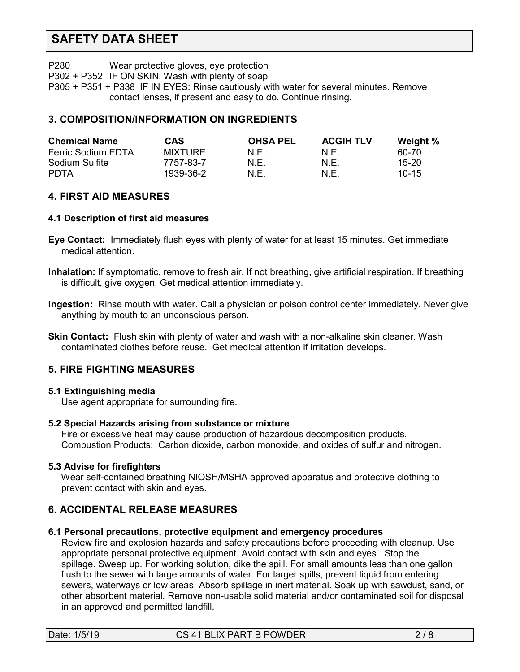P280 Wear protective gloves, eye protection

P302 + P352 IF ON SKIN: Wash with plenty of soap

P305 + P351 + P338 IF IN EYES: Rinse cautiously with water for several minutes. Remove contact lenses, if present and easy to do. Continue rinsing.

## **3. COMPOSITION/INFORMATION ON INGREDIENTS**

| <b>Chemical Name</b> | CAS            | <b>OHSA PEL</b> | <b>ACGIH TLV</b> | Weight %  |
|----------------------|----------------|-----------------|------------------|-----------|
| Ferric Sodium EDTA   | <b>MIXTURE</b> | N.E.            | N.E              | 60-70     |
| Sodium Sulfite       | 7757-83-7      | N.E.            | N.E              | $15 - 20$ |
| PDTA                 | 1939-36-2      | N.E.            | N.E              | $10 - 15$ |

## **4. FIRST AID MEASURES**

#### **4.1 Description of first aid measures**

- **Eye Contact:** Immediately flush eyes with plenty of water for at least 15 minutes. Get immediate medical attention.
- **Inhalation:** If symptomatic, remove to fresh air. If not breathing, give artificial respiration. If breathing is difficult, give oxygen. Get medical attention immediately.
- **Ingestion:** Rinse mouth with water. Call a physician or poison control center immediately. Never give anything by mouth to an unconscious person.
- **Skin Contact:** Flush skin with plenty of water and wash with a non-alkaline skin cleaner. Wash contaminated clothes before reuse. Get medical attention if irritation develops.

## **5. FIRE FIGHTING MEASURES**

## **5.1 Extinguishing media**

Use agent appropriate for surrounding fire.

## **5.2 Special Hazards arising from substance or mixture**

 Fire or excessive heat may cause production of hazardous decomposition products. Combustion Products: Carbon dioxide, carbon monoxide, and oxides of sulfur and nitrogen.

## **5.3 Advise for firefighters**

Wear self-contained breathing NIOSH/MSHA approved apparatus and protective clothing to prevent contact with skin and eyes.

## **6. ACCIDENTAL RELEASE MEASURES**

## **6.1 Personal precautions, protective equipment and emergency procedures**

Review fire and explosion hazards and safety precautions before proceeding with cleanup. Use appropriate personal protective equipment. Avoid contact with skin and eyes. Stop the spillage. Sweep up. For working solution, dike the spill. For small amounts less than one gallon flush to the sewer with large amounts of water. For larger spills, prevent liquid from entering sewers, waterways or low areas. Absorb spillage in inert material. Soak up with sawdust, sand, or other absorbent material. Remove non-usable solid material and/or contaminated soil for disposal in an approved and permitted landfill.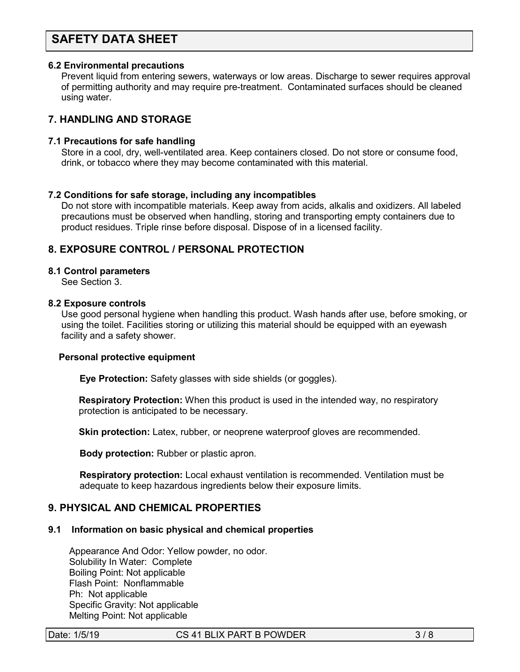#### **6.2 Environmental precautions**

 Prevent liquid from entering sewers, waterways or low areas. Discharge to sewer requires approval of permitting authority and may require pre-treatment. Contaminated surfaces should be cleaned using water.

## **7. HANDLING AND STORAGE**

#### **7.1 Precautions for safe handling**

 Store in a cool, dry, well-ventilated area. Keep containers closed. Do not store or consume food, drink, or tobacco where they may become contaminated with this material.

#### **7.2 Conditions for safe storage, including any incompatibles**

Do not store with incompatible materials. Keep away from acids, alkalis and oxidizers. All labeled precautions must be observed when handling, storing and transporting empty containers due to product residues. Triple rinse before disposal. Dispose of in a licensed facility.

## **8. EXPOSURE CONTROL / PERSONAL PROTECTION**

#### **8.1 Control parameters**

See Section 3.

#### **8.2 Exposure controls**

Use good personal hygiene when handling this product. Wash hands after use, before smoking, or using the toilet. Facilities storing or utilizing this material should be equipped with an eyewash facility and a safety shower.

#### **Personal protective equipment**

**Eye Protection:** Safety glasses with side shields (or goggles).

**Respiratory Protection:** When this product is used in the intended way, no respiratory protection is anticipated to be necessary.

**Skin protection:** Latex, rubber, or neoprene waterproof gloves are recommended.

 **Body protection:** Rubber or plastic apron.

 **Respiratory protection:** Local exhaust ventilation is recommended. Ventilation must be adequate to keep hazardous ingredients below their exposure limits.

## **9. PHYSICAL AND CHEMICAL PROPERTIES**

#### **9.1 Information on basic physical and chemical properties**

Appearance And Odor: Yellow powder, no odor. Solubility In Water: Complete Boiling Point: Not applicable Flash Point: Nonflammable Ph: Not applicable Specific Gravity: Not applicable Melting Point: Not applicable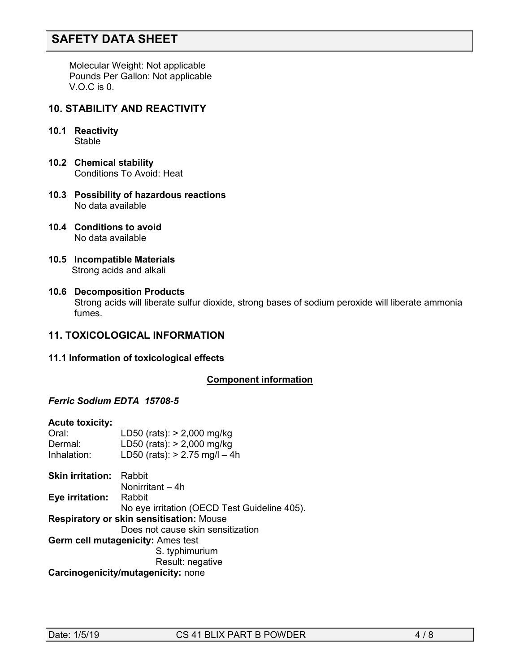Molecular Weight: Not applicable Pounds Per Gallon: Not applicable V.O.C is 0.

## **10. STABILITY AND REACTIVITY**

- **10.1 Reactivity Stable**
- **10.2 Chemical stability** Conditions To Avoid: Heat
- **10.3 Possibility of hazardous reactions** No data available
- **10.4 Conditions to avoid** No data available
- **10.5 Incompatible Materials** Strong acids and alkali
- **10.6 Decomposition Products** Strong acids will liberate sulfur dioxide, strong bases of sodium peroxide will liberate ammonia fumes.

## **11. TOXICOLOGICAL INFORMATION**

#### **11.1 Information of toxicological effects**

#### *<sup>U</sup>***Component information**

## *Ferric Sodium EDTA 15708-5*

| <b>Acute toxicity:</b>                   |                                              |
|------------------------------------------|----------------------------------------------|
| Oral:                                    | LD50 (rats): > 2,000 mg/kg                   |
| Dermal:                                  | LD50 (rats): > 2,000 mg/kg                   |
| Inhalation:                              | LD50 (rats): $> 2.75$ mg/l - 4h              |
| <b>Skin irritation:</b>                  | Rabbit                                       |
|                                          | Nonirritant – 4h                             |
| Eye irritation:                          | Rabbit                                       |
|                                          | No eye irritation (OECD Test Guideline 405). |
| Respiratory or skin sensitisation: Mouse |                                              |
|                                          | Does not cause skin sensitization            |
| <b>Germ cell mutagenicity: Ames test</b> |                                              |
|                                          | S. typhimurium                               |
|                                          | Result: negative                             |
| Carcinogenicity/mutagenicity: none       |                                              |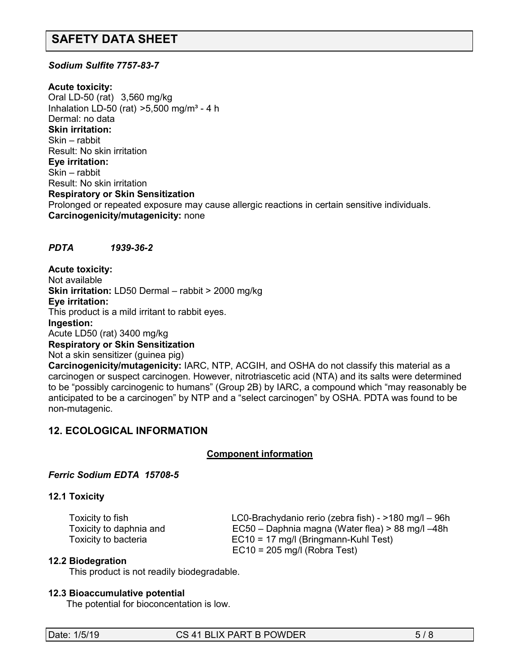### *Sodium Sulfite 7757-83-7*

**Acute toxicity:**

Oral LD-50 (rat) 3,560 mg/kg Inhalation LD-50 (rat)  $>5,500$  mg/m<sup>3</sup> - 4 h Dermal: no data **Skin irritation:**  Skin – rabbit Result: No skin irritation **Eye irritation:**  Skin – rabbit Result: No skin irritation **Respiratory or Skin Sensitization** Prolonged or repeated exposure may cause allergic reactions in certain sensitive individuals. **Carcinogenicity/mutagenicity:** none

#### *PDTA 1939-36-2*

**Acute toxicity:** Not available **Skin irritation:** LD50 Dermal – rabbit > 2000 mg/kg **Eye irritation:**  This product is a mild irritant to rabbit eyes. **Ingestion:** Acute LD50 (rat) 3400 mg/kg **Respiratory or Skin Sensitization** Not a skin sensitizer (guinea pig)

**Carcinogenicity/mutagenicity:** IARC, NTP, ACGIH, and OSHA do not classify this material as a carcinogen or suspect carcinogen. However, nitrotriascetic acid (NTA) and its salts were determined to be "possibly carcinogenic to humans" (Group 2B) by IARC, a compound which "may reasonably be anticipated to be a carcinogen" by NTP and a "select carcinogen" by OSHA. PDTA was found to be non-mutagenic.

## **12. ECOLOGICAL INFORMATION**

#### *<sup>U</sup>***Component information**

#### *Ferric Sodium EDTA 15708-5*

#### **12.1 Toxicity**

 Toxicity to fish LC0-Brachydanio rerio (zebra fish) - >180 mg/l – 96h Toxicity to daphnia and EC50 – Daphnia magna (Water flea) > 88 mg/l –48h Toxicity to bacteria EC10 = 17 mg/l (Bringmann-Kuhl Test) EC10 = 205 mg/l (Robra Test)

#### **12.2 Biodegration**

This product is not readily biodegradable.

#### **12.3 Bioaccumulative potential**

The potential for bioconcentation is low.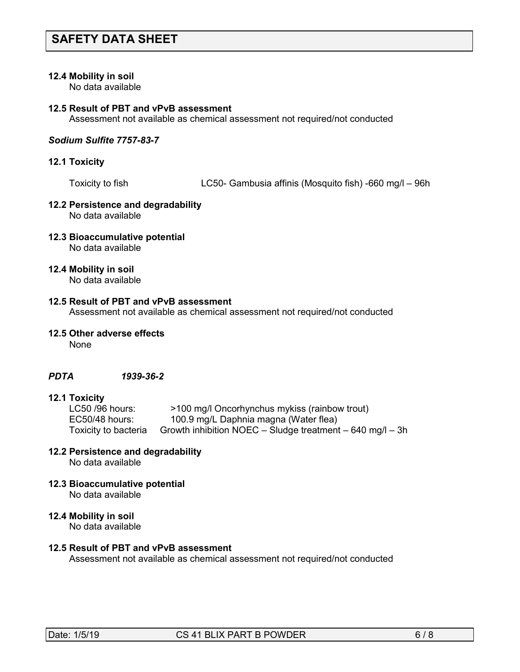#### **12.4 Mobility in soil**

No data available

#### **12.5 Result of PBT and vPvB assessment**

Assessment not available as chemical assessment not required/not conducted

#### *Sodium Sulfite 7757-83-7*

#### **12.1 Toxicity**

Toxicity to fish LC50- Gambusia affinis (Mosquito fish) -660 mg/l – 96h

#### **12.2 Persistence and degradability** No data available

#### **12.3 Bioaccumulative potential** No data available

## **12.4 Mobility in soil**

No data available

#### **12.5 Result of PBT and vPvB assessment**

Assessment not available as chemical assessment not required/not conducted

#### **12.5 Other adverse effects**

None

#### *PDTA 1939-36-2*

# **12.1 Toxicity**

>100 mg/l Oncorhynchus mykiss (rainbow trout) EC50/48 hours: 100.9 mg/L Daphnia magna (Water flea) Toxicity to bacteria Growth inhibition NOEC – Sludge treatment – 640 mg/l – 3h

### **12.2 Persistence and degradability**

No data available

**12.3 Bioaccumulative potential** No data available

#### **12.4 Mobility in soil**

No data available

## **12.5 Result of PBT and vPvB assessment**

Assessment not available as chemical assessment not required/not conducted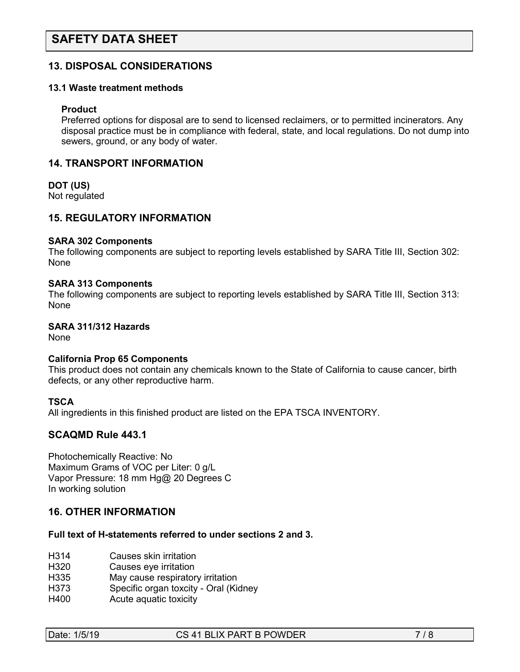## **13. DISPOSAL CONSIDERATIONS**

#### **13.1 Waste treatment methods**

#### **Product**

Preferred options for disposal are to send to licensed reclaimers, or to permitted incinerators. Any disposal practice must be in compliance with federal, state, and local regulations. Do not dump into sewers, ground, or any body of water.

#### **14. TRANSPORT INFORMATION**

#### **DOT (US)**

Not regulated

## **15. REGULATORY INFORMATION**

#### **SARA 302 Components**

The following components are subject to reporting levels established by SARA Title III, Section 302: None

#### **SARA 313 Components**

The following components are subject to reporting levels established by SARA Title III, Section 313: None

## **SARA 311/312 Hazards**

None

#### **California Prop 65 Components**

This product does not contain any chemicals known to the State of California to cause cancer, birth defects, or any other reproductive harm.

#### **TSCA**

All ingredients in this finished product are listed on the EPA TSCA INVENTORY.

## **SCAQMD Rule 443.1**

Photochemically Reactive: No Maximum Grams of VOC per Liter: 0 g/L Vapor Pressure: 18 mm Hg@ 20 Degrees C In working solution

## **16. OTHER INFORMATION**

### **Full text of H-statements referred to under sections 2 and 3.**

- H314 Causes skin irritation
- H320 Causes eye irritation
- H335 May cause respiratory irritation
- H373 Specific organ toxcity Oral (Kidney
- H400 Acute aquatic toxicity